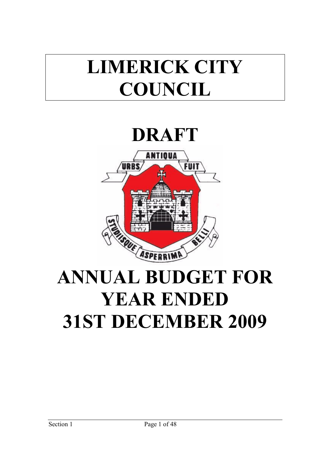# **LIMERICK CITY COUNCIL**

# **DRAFT**



# **ANNUAL BUDGET FOR YEAR ENDED 31ST DECEMBER 2009**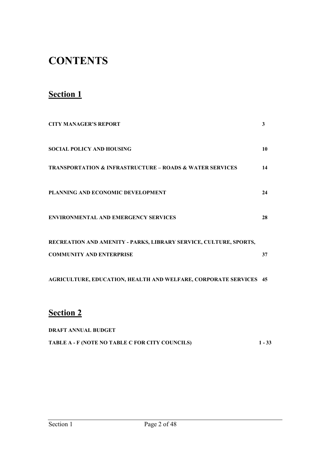# **CONTENTS**

# **Section 1**

| <b>CITY MANAGER'S REPORT</b>                                                                         | 3  |
|------------------------------------------------------------------------------------------------------|----|
| <b>SOCIAL POLICY AND HOUSING</b>                                                                     | 10 |
| <b>TRANSPORTATION &amp; INFRASTRUCTURE - ROADS &amp; WATER SERVICES</b>                              | 14 |
| PLANNING AND ECONOMIC DEVELOPMENT                                                                    | 24 |
| <b>ENVIRONMENTAL AND EMERGENCY SERVICES</b>                                                          | 28 |
| RECREATION AND AMENITY - PARKS, LIBRARY SERVICE, CULTURE, SPORTS,<br><b>COMMUNITY AND ENTERPRISE</b> | 37 |
| <b>AGRICULTURE, EDUCATION, HEALTH AND WELFARE, CORPORATE SERVICES 45</b>                             |    |

# **Section 2**

| <b>DRAFT ANNUAL BUDGET</b>                      |          |
|-------------------------------------------------|----------|
| TABLE A - F (NOTE NO TABLE C FOR CITY COUNCILS) | $1 - 33$ |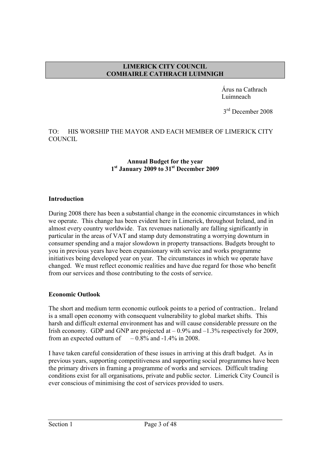#### **LIMERICK CITY COUNCIL COMHAIRLE CATHRACH LUIMNIGH**

 Árus na Cathrach Luimneach

3<sup>rd</sup> December 2008

## TO: HIS WORSHIP THE MAYOR AND EACH MEMBER OF LIMERICK CITY COUNCIL.

#### **Annual Budget for the year 1st January 2009 to 31st December 2009**

#### **Introduction**

During 2008 there has been a substantial change in the economic circumstances in which we operate. This change has been evident here in Limerick, throughout Ireland, and in almost every country worldwide. Tax revenues nationally are falling significantly in particular in the areas of VAT and stamp duty demonstrating a worrying downturn in consumer spending and a major slowdown in property transactions. Budgets brought to you in previous years have been expansionary with service and works programme initiatives being developed year on year. The circumstances in which we operate have changed. We must reflect economic realities and have due regard for those who benefit from our services and those contributing to the costs of service.

# **Economic Outlook**

The short and medium term economic outlook points to a period of contraction.. Ireland is a small open economy with consequent vulnerability to global market shifts. This harsh and difficult external environment has and will cause considerable pressure on the Irish economy. GDP and GNP are projected at  $-0.9\%$  and  $-1.3\%$  respectively for 2009, from an expected outturn of  $-0.8\%$  and  $-1.4\%$  in 2008.

I have taken careful consideration of these issues in arriving at this draft budget. As in previous years, supporting competitiveness and supporting social programmes have been the primary drivers in framing a programme of works and services. Difficult trading conditions exist for all organisations, private and public sector. Limerick City Council is ever conscious of minimising the cost of services provided to users.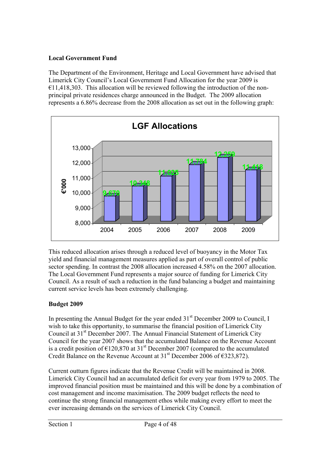# **Local Government Fund**

The Department of the Environment, Heritage and Local Government have advised that Limerick City Council's Local Government Fund Allocation for the year 2009 is  $€11,418,303$ . This allocation will be reviewed following the introduction of the nonprincipal private residences charge announced in the Budget. The 2009 allocation represents a 6.86% decrease from the 2008 allocation as set out in the following graph:



This reduced allocation arises through a reduced level of buoyancy in the Motor Tax yield and financial management measures applied as part of overall control of public sector spending. In contrast the 2008 allocation increased 4.58% on the 2007 allocation. The Local Government Fund represents a major source of funding for Limerick City Council. As a result of such a reduction in the fund balancing a budget and maintaining current service levels has been extremely challenging.

# **Budget 2009**

In presenting the Annual Budget for the year ended  $31<sup>st</sup>$  December 2009 to Council, I wish to take this opportunity, to summarise the financial position of Limerick City Council at 31<sup>st</sup> December 2007. The Annual Financial Statement of Limerick City Council for the year 2007 shows that the accumulated Balance on the Revenue Account is a credit position of  $\epsilon$ 120,870 at 31<sup>st</sup> December 2007 (compared to the accumulated Credit Balance on the Revenue Account at  $31<sup>st</sup>$  December 2006 of  $\epsilon$ 323,872).

Current outturn figures indicate that the Revenue Credit will be maintained in 2008. Limerick City Council had an accumulated deficit for every year from 1979 to 2005. The improved financial position must be maintained and this will be done by a combination of cost management and income maximisation. The 2009 budget reflects the need to continue the strong financial management ethos while making every effort to meet the ever increasing demands on the services of Limerick City Council.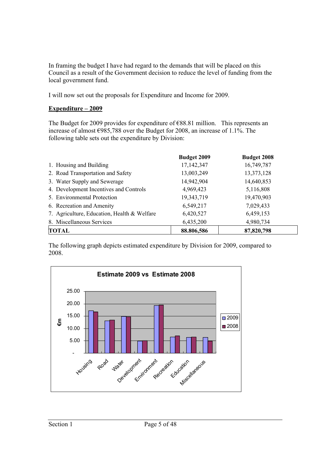In framing the budget I have had regard to the demands that will be placed on this Council as a result of the Government decision to reduce the level of funding from the local government fund.

I will now set out the proposals for Expenditure and Income for 2009.

# **Expenditure – 2009**

The Budget for 2009 provides for expenditure of  $E88.81$  million. This represents an increase of almost €985,788 over the Budget for 2008, an increase of 1.1%. The following table sets out the expenditure by Division:

|                                             | Budget 2009 | <b>Budget 2008</b> |
|---------------------------------------------|-------------|--------------------|
| 1. Housing and Building                     | 17,142,347  | 16,749,787         |
| 2. Road Transportation and Safety           | 13,003,249  | 13,373,128         |
| 3. Water Supply and Sewerage                | 14,942,904  | 14,640,853         |
| 4. Development Incentives and Controls      | 4,969,423   | 5,116,808          |
| 5. Environmental Protection                 | 19,343,719  | 19,470,903         |
| 6. Recreation and Amenity                   | 6,549,217   | 7,029,433          |
| 7. Agriculture, Education, Health & Welfare | 6,420,527   | 6,459,153          |
| 8. Miscellaneous Services                   | 6,435,200   | 4,980,734          |
| TOTAL                                       | 88.806,586  | 87,820,798         |

The following graph depicts estimated expenditure by Division for 2009, compared to 2008.

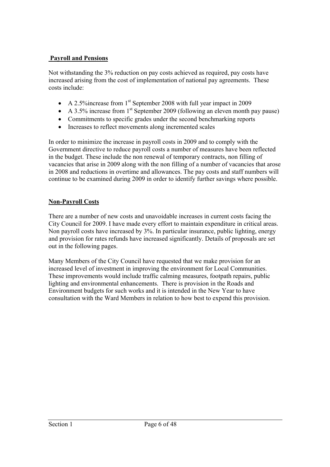# **Payroll and Pensions**

Not withstanding the 3% reduction on pay costs achieved as required, pay costs have increased arising from the cost of implementation of national pay agreements. These costs include:

- A 2.5% increase from  $1<sup>st</sup>$  September 2008 with full year impact in 2009
- A 3.5% increase from  $1<sup>st</sup>$  September 2009 (following an eleven month pay pause)
- Commitments to specific grades under the second benchmarking reports
- Increases to reflect movements along incremented scales

In order to minimize the increase in payroll costs in 2009 and to comply with the Government directive to reduce payroll costs a number of measures have been reflected in the budget. These include the non renewal of temporary contracts, non filling of vacancies that arise in 2009 along with the non filling of a number of vacancies that arose in 2008 and reductions in overtime and allowances. The pay costs and staff numbers will continue to be examined during 2009 in order to identify further savings where possible.

# **Non-Payroll Costs**

There are a number of new costs and unavoidable increases in current costs facing the City Council for 2009. I have made every effort to maintain expenditure in critical areas. Non payroll costs have increased by 3%. In particular insurance, public lighting, energy and provision for rates refunds have increased significantly. Details of proposals are set out in the following pages.

Many Members of the City Council have requested that we make provision for an increased level of investment in improving the environment for Local Communities. These improvements would include traffic calming measures, footpath repairs, public lighting and environmental enhancements. There is provision in the Roads and Environment budgets for such works and it is intended in the New Year to have consultation with the Ward Members in relation to how best to expend this provision.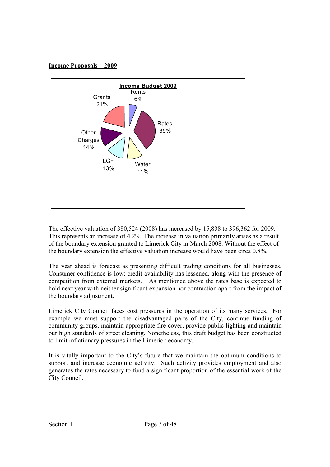## **Income Proposals – 2009**



The effective valuation of 380,524 (2008) has increased by 15,838 to 396,362 for 2009. This represents an increase of 4.2%. The increase in valuation primarily arises as a result of the boundary extension granted to Limerick City in March 2008. Without the effect of the boundary extension the effective valuation increase would have been circa 0.8%.

The year ahead is forecast as presenting difficult trading conditions for all businesses. Consumer confidence is low; credit availability has lessened, along with the presence of competition from external markets. As mentioned above the rates base is expected to hold next year with neither significant expansion nor contraction apart from the impact of the boundary adjustment.

Limerick City Council faces cost pressures in the operation of its many services. For example we must support the disadvantaged parts of the City, continue funding of community groups, maintain appropriate fire cover, provide public lighting and maintain our high standards of street cleaning. Nonetheless, this draft budget has been constructed to limit inflationary pressures in the Limerick economy.

It is vitally important to the City's future that we maintain the optimum conditions to support and increase economic activity. Such activity provides employment and also generates the rates necessary to fund a significant proportion of the essential work of the City Council.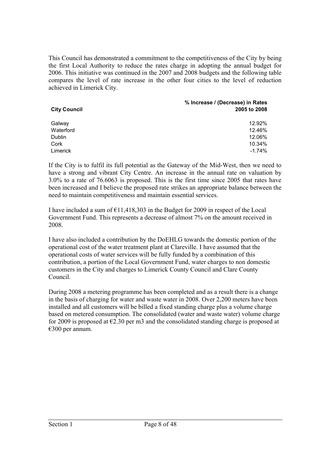This Council has demonstrated a commitment to the competitiveness of the City by being the first Local Authority to reduce the rates charge in adopting the annual budget for 2006. This initiative was continued in the 2007 and 2008 budgets and the following table compares the level of rate increase in the other four cities to the level of reduction achieved in Limerick City.

| <b>City Council</b> | % Increase / (Decrease) in Rates<br>2005 to 2008 |
|---------------------|--------------------------------------------------|
| Galway              | 12.92%                                           |
| Waterford           | 12.46%                                           |
| Dublin              | 12.06%                                           |
| Cork                | 10.34%                                           |
| Limerick            | $-1.74%$                                         |

If the City is to fulfil its full potential as the Gateway of the Mid-West, then we need to have a strong and vibrant City Centre. An increase in the annual rate on valuation by 3.0% to a rate of 76.6063 is proposed. This is the first time since 2005 that rates have been increased and I believe the proposed rate strikes an appropriate balance between the need to maintain competitiveness and maintain essential services.

I have included a sum of  $\epsilon$ 11,418,303 in the Budget for 2009 in respect of the Local Government Fund. This represents a decrease of almost 7% on the amount received in 2008.

I have also included a contribution by the DoEHLG towards the domestic portion of the operational cost of the water treatment plant at Clareville. I have assumed that the operational costs of water services will be fully funded by a combination of this contribution, a portion of the Local Government Fund, water charges to non domestic customers in the City and charges to Limerick County Council and Clare County Council.

During 2008 a metering programme has been completed and as a result there is a change in the basis of charging for water and waste water in 2008. Over 2,200 meters have been installed and all customers will be billed a fixed standing charge plus a volume charge based on metered consumption. The consolidated (water and waste water) volume charge for 2009 is proposed at  $\epsilon$ 2.30 per m3 and the consolidated standing charge is proposed at €300 per annum.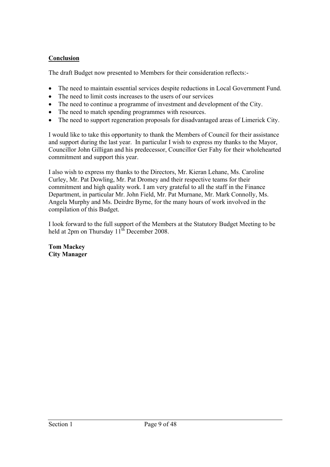# **Conclusion**

The draft Budget now presented to Members for their consideration reflects:-

- The need to maintain essential services despite reductions in Local Government Fund.
- The need to limit costs increases to the users of our services
- The need to continue a programme of investment and development of the City.
- The need to match spending programmes with resources.
- The need to support regeneration proposals for disadvantaged areas of Limerick City.

I would like to take this opportunity to thank the Members of Council for their assistance and support during the last year. In particular I wish to express my thanks to the Mayor, Councillor John Gilligan and his predecessor, Councillor Ger Fahy for their wholehearted commitment and support this year.

I also wish to express my thanks to the Directors, Mr. Kieran Lehane, Ms. Caroline Curley, Mr. Pat Dowling, Mr. Pat Dromey and their respective teams for their commitment and high quality work. I am very grateful to all the staff in the Finance Department, in particular Mr. John Field, Mr. Pat Murnane, Mr. Mark Connolly, Ms. Angela Murphy and Ms. Deirdre Byrne, for the many hours of work involved in the compilation of this Budget.

I look forward to the full support of the Members at the Statutory Budget Meeting to be held at 2pm on Thursday  $11^{th}$  December 2008.

**Tom Mackey City Manager**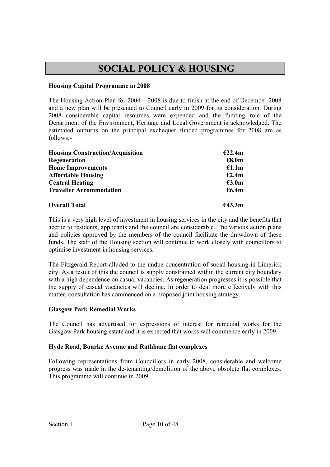# **SOCIAL POLICY & HOUSING**

## **Housing Capital Programme in 2008**

The Housing Action Plan for 2004 – 2008 is due to finish at the end of December 2008 and a new plan will be presented to Council early in 2009 for its consideration. During 2008 considerable capital resources were expended and the funding role of the Department of the Environment, Heritage and Local Government is acknowledged. The estimated outturns on the principal exchequer funded programmes for 2008 are as follows:-

| <b>Housing Construction/Acquisition</b> | €22.4m |
|-----------------------------------------|--------|
| Regeneration                            | €8.0m  |
| <b>Home Improvements</b>                | £1.1m  |
| <b>Affordable Housing</b>               | E2.4m  |
| <b>Central Heating</b>                  | €3.0m  |
| <b>Traveller Accommodation</b>          | €6.4m  |
| <b>Overall Total</b>                    | €43.3m |

This is a very high level of investment in housing services in the city and the benefits that accrue to residents, applicants and the council are considerable. The various action plans and policies approved by the members of the council facilitate the drawdown of these funds. The staff of the Housing section will continue to work closely with councillors to optimise investment in housing services.

The Fitzgerald Report alluded to the undue concentration of social housing in Limerick city. As a result of this the council is supply constrained within the current city boundary with a high dependence on casual vacancies. As regeneration progresses it is possible that the supply of casual vacancies will decline. In order to deal more effectively with this matter, consultation has commenced on a proposed joint housing strategy.

#### **Glasgow Park Remedial Works**

The Council has advertised for expressions of interest for remedial works for the Glasgow Park housing estate and it is expected that works will commence early in 2009.

# **Hyde Road, Bourke Avenue and Rathbane flat complexes**

Following representations from Councillors in early 2008, considerable and welcome progress was made in the de-tenanting/demolition of the above obsolete flat complexes. This programme will continue in 2009.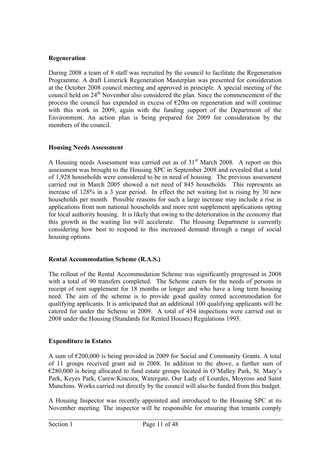#### **Regeneration**

During 2008 a team of 8 staff was recruited by the council to facilitate the Regeneration Programme. A draft Limerick Regeneration Masterplan was presented for consideration at the October 2008 council meeting and approved in principle. A special meeting of the council held on 24<sup>th</sup> November also considered the plan. Since the commencement of the process the council has expended in excess of  $E20m$  on regeneration and will continue with this work in 2009, again with the funding support of the Department of the Environment. An action plan is being prepared for 2009 for consideration by the members of the council.

#### **Housing Needs Assessment**

A Housing needs Assessment was carried out as of 31<sup>st</sup> March 2008. A report on this assessment was brought to the Housing SPC in September 2008 and revealed that a total of 1,928 households were considered to be in need of housing. The previous assessment carried out in March 2005 showed a net need of 845 households. This represents an increase of 128% in a 3 year period. In effect the net waiting list is rising by 30 new households per month. Possible reasons for such a large increase may include a rise in applications from non national households and more rent supplement applications opting for local authority housing. It is likely that owing to the deterioration in the economy that this growth in the waiting list will accelerate. The Housing Department is currently considering how best to respond to this increased demand through a range of social housing options.

#### **Rental Accommodation Scheme (R.A.S.)**

The rollout of the Rental Accommodation Scheme was significantly progressed in 2008 with a total of 90 transfers completed. The Scheme caters for the needs of persons in receipt of rent supplement for 18 months or longer and who have a long term housing need. The aim of the scheme is to provide good quality rented accommodation for qualifying applicants. It is anticipated that an additional 100 qualifying applicants will be catered for under the Scheme in 2009. A total of 454 inspections were carried out in 2008 under the Housing (Standards for Rented Houses) Regulations 1993.

# **Expenditure in Estates**

A sum of €200,000 is being provided in 2009 for Social and Community Grants. A total of 11 groups received grant aid in 2008. In addition to the above, a further sum of €280,000 is being allocated to fund estate groups located in O'Malley Park, St. Mary's Park, Keyes Park, Carew/Kincora, Watergate, Our Lady of Lourdes, Moyross and Saint Munchins. Works carried out directly by the council will also be funded from this budget.

A Housing Inspector was recently appointed and introduced to the Housing SPC at its November meeting. The inspector will be responsible for ensuring that tenants comply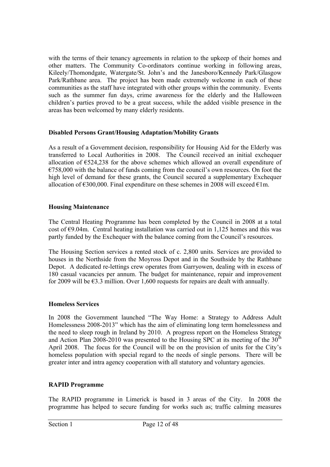with the terms of their tenancy agreements in relation to the upkeep of their homes and other matters. The Community Co-ordinators continue working in following areas, Kileely/Thomondgate, Watergate/St. John's and the Janesboro/Kennedy Park/Glasgow Park/Rathbane area. The project has been made extremely welcome in each of these communities as the staff have integrated with other groups within the community. Events such as the summer fun days, crime awareness for the elderly and the Halloween children's parties proved to be a great success, while the added visible presence in the areas has been welcomed by many elderly residents.

# **Disabled Persons Grant/Housing Adaptation/Mobility Grants**

As a result of a Government decision, responsibility for Housing Aid for the Elderly was transferred to Local Authorities in 2008. The Council received an initial exchequer allocation of €524,238 for the above schemes which allowed an overall expenditure of  $E758,000$  with the balance of funds coming from the council's own resources. On foot the high level of demand for these grants, the Council secured a supplementary Exchequer allocation of  $\epsilon$ 300,000. Final expenditure on these schemes in 2008 will exceed  $\epsilon$ 1m.

#### **Housing Maintenance**

The Central Heating Programme has been completed by the Council in 2008 at a total cost of  $\epsilon$ 9.04m. Central heating installation was carried out in 1,125 homes and this was partly funded by the Exchequer with the balance coming from the Council's resources.

The Housing Section services a rented stock of c. 2,800 units. Services are provided to houses in the Northside from the Moyross Depot and in the Southside by the Rathbane Depot. A dedicated re-lettings crew operates from Garryowen, dealing with in excess of 180 casual vacancies per annum. The budget for maintenance, repair and improvement for 2009 will be €3.3 million. Over 1,600 requests for repairs are dealt with annually.

#### **Homeless Services**

In 2008 the Government launched "The Way Home: a Strategy to Address Adult Homelessness 2008-2013" which has the aim of eliminating long term homelessness and the need to sleep rough in Ireland by 2010. A progress report on the Homeless Strategy and Action Plan 2008-2010 was presented to the Housing SPC at its meeting of the 30<sup>th</sup> April 2008. The focus for the Council will be on the provision of units for the City's homeless population with special regard to the needs of single persons. There will be greater inter and intra agency cooperation with all statutory and voluntary agencies.

# **RAPID Programme**

The RAPID programme in Limerick is based in 3 areas of the City. In 2008 the programme has helped to secure funding for works such as; traffic calming measures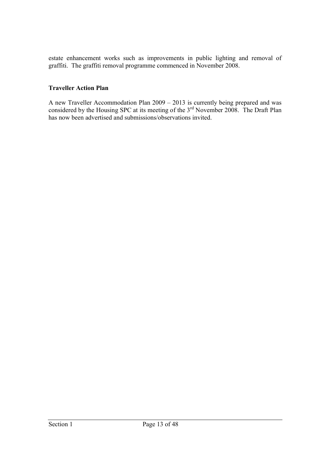estate enhancement works such as improvements in public lighting and removal of graffiti. The graffiti removal programme commenced in November 2008.

#### **Traveller Action Plan**

A new Traveller Accommodation Plan 2009 – 2013 is currently being prepared and was considered by the Housing SPC at its meeting of the  $3<sup>rd</sup>$  November 2008. The Draft Plan has now been advertised and submissions/observations invited.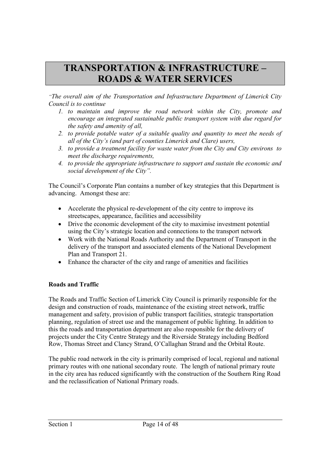# **TRANSPORTATION & INFRASTRUCTURE – ROADS & WATER SERVICES**

*"The overall aim of the Transportation and Infrastructure Department of Limerick City Council is to continue* 

- *1. to maintain and improve the road network within the City, promote and encourage an integrated sustainable public transport system with due regard for the safety and amenity of all,*
- *2. to provide potable water of a suitable quality and quantity to meet the needs of all of the City's (and part of counties Limerick and Clare) users,*
- *3. to provide a treatment facility for waste water from the City and City environs to meet the discharge requirements,*
- *4. to provide the appropriate infrastructure to support and sustain the economic and social development of the City".*

The Council's Corporate Plan contains a number of key strategies that this Department is advancing. Amongst these are:

- Accelerate the physical re-development of the city centre to improve its streetscapes, appearance, facilities and accessibility
- Drive the economic development of the city to maximise investment potential using the City's strategic location and connections to the transport network
- Work with the National Roads Authority and the Department of Transport in the delivery of the transport and associated elements of the National Development Plan and Transport 21.
- Enhance the character of the city and range of amenities and facilities

# **Roads and Traffic**

The Roads and Traffic Section of Limerick City Council is primarily responsible for the design and construction of roads, maintenance of the existing street network, traffic management and safety, provision of public transport facilities, strategic transportation planning, regulation of street use and the management of public lighting. In addition to this the roads and transportation department are also responsible for the delivery of projects under the City Centre Strategy and the Riverside Strategy including Bedford Row, Thomas Street and Clancy Strand, O'Callaghan Strand and the Orbital Route.

The public road network in the city is primarily comprised of local, regional and national primary routes with one national secondary route. The length of national primary route in the city area has reduced significantly with the construction of the Southern Ring Road and the reclassification of National Primary roads.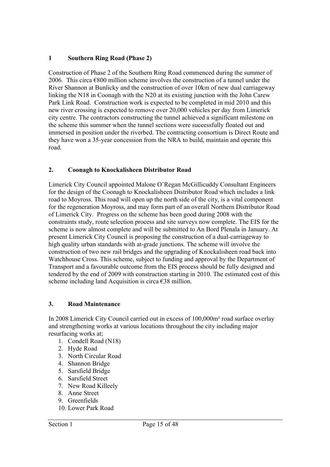# **1 Southern Ring Road (Phase 2)**

Construction of Phase 2 of the Southern Ring Road commenced during the summer of 2006. This circa  $\epsilon$ 800 million scheme involves the construction of a tunnel under the River Shannon at Bunlicky and the construction of over 10km of new dual carriageway linking the N18 in Coonagh with the N20 at its existing junction with the John Carew Park Link Road. Construction work is expected to be completed in mid 2010 and this new river crossing is expected to remove over 20,000 vehicles per day from Limerick city centre. The contractors constructing the tunnel achieved a significant milestone on the scheme this summer when the tunnel sections were successfully floated out and immersed in position under the riverbed. The contracting consortium is Direct Route and they have won a 35-year concession from the NRA to build, maintain and operate this road.

# **2. Coonagh to Knockalisheen Distributor Road**

Limerick City Council appointed Malone O'Regan McGillicuddy Consultant Engineers for the design of the Coonagh to Knockalisheen Distributor Road which includes a link road to Moyross. This road will open up the north side of the city, is a vital component for the regeneration Moyross, and may form part of an overall Northern Distributor Road of Limerick City. Progress on the scheme has been good during 2008 with the constraints study, route selection process and site surveys now complete. The EIS for the scheme is now almost complete and will be submitted to An Bord Plenala in January. At present Limerick City Council is proposing the construction of a dual-carriageway to high quality urban standards with at-grade junctions. The scheme will involve the construction of two new rail bridges and the upgrading of Knockalisheen road back into Watchhouse Cross. This scheme, subject to funding and approval by the Department of Transport and a favourable outcome from the EIS process should be fully designed and tendered by the end of 2009 with construction starting in 2010. The estimated cost of this scheme including land Acquisition is circa  $\epsilon$ 38 million.

# **3. Road Maintenance**

In 2008 Limerick City Council carried out in excess of 100,000m² road surface overlay and strengthening works at various locations throughout the city including major resurfacing works at;

- 1. Condell Road (N18)
- 2. Hyde Road
- 3. North Circular Road
- 4. Shannon Bridge
- 5. Sarsfield Bridge
- 6. Sarsfield Street
- 7. New Road Killeely
- 8. Anne Street
- 9. Greenfields
- 10. Lower Park Road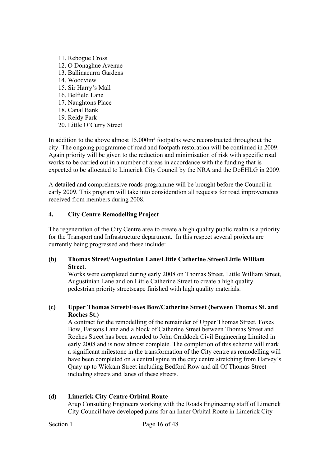11. Rebogue Cross 12. O Donaghue Avenue 13. Ballinacurra Gardens 14. Woodview 15. Sir Harry's Mall 16. Belfield Lane 17. Naughtons Place 18. Canal Bank 19. Reidy Park 20. Little O'Curry Street

In addition to the above almost 15,000m² footpaths were reconstructed throughout the city. The ongoing programme of road and footpath restoration will be continued in 2009. Again priority will be given to the reduction and minimisation of risk with specific road works to be carried out in a number of areas in accordance with the funding that is expected to be allocated to Limerick City Council by the NRA and the DoEHLG in 2009.

A detailed and comprehensive roads programme will be brought before the Council in early 2009. This program will take into consideration all requests for road improvements received from members during 2008.

#### **4. City Centre Remodelling Project**

The regeneration of the City Centre area to create a high quality public realm is a priority for the Transport and Infrastructure department. In this respect several projects are currently being progressed and these include:

#### **(b) Thomas Street/Augustinian Lane/Little Catherine Street/Little William Street.**

Works were completed during early 2008 on Thomas Street, Little William Street, Augustinian Lane and on Little Catherine Street to create a high quality pedestrian priority streetscape finished with high quality materials.

#### **(c) Upper Thomas Street/Foxes Bow/Catherine Street (between Thomas St. and Roches St.)**

A contract for the remodelling of the remainder of Upper Thomas Street, Foxes Bow, Earsons Lane and a block of Catherine Street between Thomas Street and Roches Street has been awarded to John Craddock Civil Engineering Limited in early 2008 and is now almost complete. The completion of this scheme will mark a significant milestone in the transformation of the City centre as remodelling will have been completed on a central spine in the city centre stretching from Harvey's Quay up to Wickam Street including Bedford Row and all Of Thomas Street including streets and lanes of these streets.

# **(d) Limerick City Centre Orbital Route**

Arup Consulting Engineers working with the Roads Engineering staff of Limerick City Council have developed plans for an Inner Orbital Route in Limerick City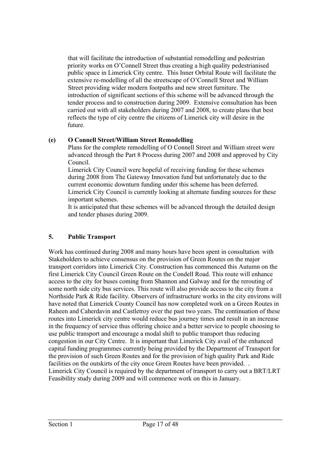that will facilitate the introduction of substantial remodelling and pedestrian priority works on O'Connell Street thus creating a high quality pedestrianised public space in Limerick City centre. This Inner Orbital Route will facilitate the extensive re-modelling of all the streetscape of O'Connell Street and William Street providing wider modern footpaths and new street furniture. The introduction of significant sections of this scheme will be advanced through the tender process and to construction during 2009. Extensive consultation has been carried out with all stakeholders during 2007 and 2008, to create plans that best reflects the type of city centre the citizens of Limerick city will desire in the future.

# **(e) O Connell Street/William Street Remodelling**

Plans for the complete remodelling of O Connell Street and William street were advanced through the Part 8 Process during 2007 and 2008 and approved by City Council.

Limerick City Council were hopeful of receiving funding for these schemes during 2008 from The Gateway Innovation fund but unfortunately due to the current economic downturn funding under this scheme has been deferred. Limerick City Council is currently looking at alternate funding sources for these important schemes.

It is anticipated that these schemes will be advanced through the detailed design and tender phases during 2009.

# **5. Public Transport**

Work has continued during 2008 and many hours have been spent in consultation with Stakeholders to achieve consensus on the provision of Green Routes on the major transport corridors into Limerick City. Construction has commenced this Autumn on the first Limerick City Council Green Route on the Condell Road. This route will enhance access to the city for buses coming from Shannon and Galway and for the rerouting of some north side city bus services. This route will also provide access to the city from a Northside Park & Ride facility. Observers of infrastructure works in the city environs will have noted that Limerick County Council has now completed work on a Green Routes in Raheen and Caherdavin and Castletroy over the past two years. The continuation of these routes into Limerick city centre would reduce bus journey times and result in an increase in the frequency of service thus offering choice and a better service to people choosing to use public transport and encourage a modal shift to public transport thus reducing congestion in our City Centre. It is important that Limerick City avail of the enhanced capital funding programmes currently being provided by the Department of Transport for the provision of such Green Routes and for the provision of high quality Park and Ride facilities on the outskirts of the city once Green Routes have been provided. . Limerick City Council is required by the department of transport to carry out a BRT/LRT Feasibility study during 2009 and will commence work on this in January.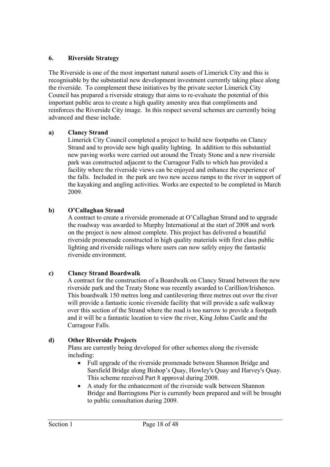# **6. Riverside Strategy**

The Riverside is one of the most important natural assets of Limerick City and this is recognisable by the substantial new development investment currently taking place along the riverside. To complement these initiatives by the private sector Limerick City Council has prepared a riverside strategy that aims to re-evaluate the potential of this important public area to create a high quality amenity area that compliments and reinforces the Riverside City image. In this respect several schemes are currently being advanced and these include.

# **a) Clancy Strand**

Limerick City Council completed a project to build new footpaths on Clancy Strand and to provide new high quality lighting. In addition to this substantial new paving works were carried out around the Treaty Stone and a new riverside park was constructed adjacent to the Curragour Falls to which has provided a facility where the riverside views can be enjoyed and enhance the experience of the falls. Included in the park are two new access ramps to the river in support of the kayaking and angling activities. Works are expected to be completed in March 2009.

# **b) O'Callaghan Strand**

A contract to create a riverside promenade at O'Callaghan Strand and to upgrade the roadway was awarded to Murphy International at the start of 2008 and work on the project is now almost complete. This project has delivered a beautiful riverside promenade constructed in high quality materials with first class public lighting and riverside railings where users can now safely enjoy the fantastic riverside environment.

# **c) Clancy Strand Boardwalk**

A contract for the construction of a Boardwalk on Clancy Strand between the new riverside park and the Treaty Stone was recently awarded to Carillion/Irishenco. This boardwalk 150 metres long and cantilevering three metres out over the river will provide a fantastic iconic riverside facility that will provide a safe walkway over this section of the Strand where the road is too narrow to provide a footpath and it will be a fantastic location to view the river, King Johns Castle and the Curragour Falls.

# **d) Other Riverside Projects**

Plans are currently being developed for other schemes along the riverside including:

- Full upgrade of the riverside promenade between Shannon Bridge and Sarsfield Bridge along Bishop's Quay, Howley's Quay and Harvey's Quay. This scheme received Part 8 approval during 2008.
- A study for the enhancement of the riverside walk between Shannon Bridge and Barringtons Pier is currently been prepared and will be brought to public consultation during 2009.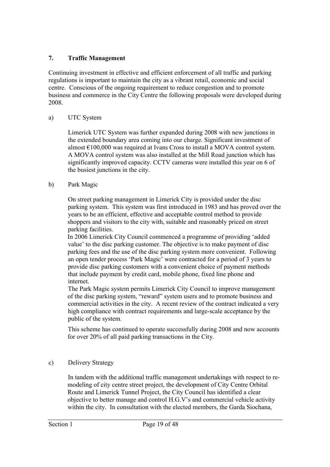# **7. Traffic Management**

Continuing investment in effective and efficient enforcement of all traffic and parking regulations is important to maintain the city as a vibrant retail, economic and social centre. Conscious of the ongoing requirement to reduce congestion and to promote business and commerce in the City Centre the following proposals were developed during 2008.

# a) UTC System

Limerick UTC System was further expanded during 2008 with new junctions in the extended boundary area coming into our charge. Significant investment of almost  $\epsilon$ 100,000 was required at Ivans Cross to install a MOVA control system. A MOVA control system was also installed at the Mill Road junction which has significantly improved capacity. CCTV cameras were installed this year on 6 of the busiest junctions in the city.

# b) Park Magic

On street parking management in Limerick City is provided under the disc parking system. This system was first introduced in 1983 and has proved over the years to be an efficient, effective and acceptable control method to provide shoppers and visitors to the city with, suitable and reasonably priced on street parking facilities.

In 2006 Limerick City Council commenced a programme of providing 'added value' to the disc parking customer. The objective is to make payment of disc parking fees and the use of the disc parking system more convenient. Following an open tender process 'Park Magic' were contracted for a period of 3 years to provide disc parking customers with a convenient choice of payment methods that include payment by credit card, mobile phone, fixed line phone and internet.

The Park Magic system permits Limerick City Council to improve management of the disc parking system, "reward" system users and to promote business and commercial activities in the city. A recent review of the contract indicated a very high compliance with contract requirements and large-scale acceptance by the public of the system.

This scheme has continued to operate successfully during 2008 and now accounts for over 20% of all paid parking transactions in the City.

# c) Delivery Strategy

In tandem with the additional traffic management undertakings with respect to remodeling of city centre street project, the development of City Centre Orbital Route and Limerick Tunnel Project, the City Council has identified a clear objective to better manage and control H.G.V's and commercial vehicle activity within the city. In consultation with the elected members, the Garda Siochana,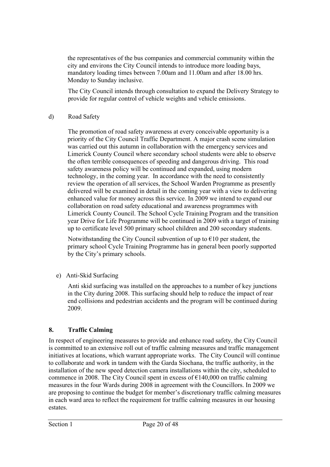the representatives of the bus companies and commercial community within the city and environs the City Council intends to introduce more loading bays, mandatory loading times between 7.00am and 11.00am and after 18.00 hrs. Monday to Sunday inclusive.

The City Council intends through consultation to expand the Delivery Strategy to provide for regular control of vehicle weights and vehicle emissions.

# d) Road Safety

The promotion of road safety awareness at every conceivable opportunity is a priority of the City Council Traffic Department. A major crash scene simulation was carried out this autumn in collaboration with the emergency services and Limerick County Council where secondary school students were able to observe the often terrible consequences of speeding and dangerous driving. This road safety awareness policy will be continued and expanded, using modern technology, in the coming year. In accordance with the need to consistently review the operation of all services, the School Warden Programme as presently delivered will be examined in detail in the coming year with a view to delivering enhanced value for money across this service. In 2009 we intend to expand our collaboration on road safety educational and awareness programmes with Limerick County Council. The School Cycle Training Program and the transition year Drive for Life Programme will be continued in 2009 with a target of training up to certificate level 500 primary school children and 200 secondary students.

Notwithstanding the City Council subvention of up to  $\epsilon$ 10 per student, the primary school Cycle Training Programme has in general been poorly supported by the City's primary schools.

e) Anti-Skid Surfacing

Anti skid surfacing was installed on the approaches to a number of key junctions in the City during 2008. This surfacing should help to reduce the impact of rear end collisions and pedestrian accidents and the program will be continued during 2009.

# **8. Traffic Calming**

In respect of engineering measures to provide and enhance road safety, the City Council is committed to an extensive roll out of traffic calming measures and traffic management initiatives at locations, which warrant appropriate works. The City Council will continue to collaborate and work in tandem with the Garda Siochana, the traffic authority, in the installation of the new speed detection camera installations within the city, scheduled to commence in 2008. The City Council spent in excess of  $\epsilon$ 140,000 on traffic calming measures in the four Wards during 2008 in agreement with the Councillors. In 2009 we are proposing to continue the budget for member's discretionary traffic calming measures in each ward area to reflect the requirement for traffic calming measures in our housing estates.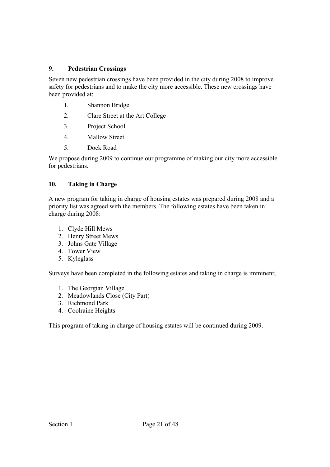## **9. Pedestrian Crossings**

Seven new pedestrian crossings have been provided in the city during 2008 to improve safety for pedestrians and to make the city more accessible. These new crossings have been provided at;

- 1. Shannon Bridge
- 2. Clare Street at the Art College
- 3. Project School
- 4. Mallow Street
- 5. Dock Road

We propose during 2009 to continue our programme of making our city more accessible for pedestrians.

#### **10. Taking in Charge**

A new program for taking in charge of housing estates was prepared during 2008 and a priority list was agreed with the members. The following estates have been taken in charge during 2008:

- 1. Clyde Hill Mews
- 2. Henry Street Mews
- 3. Johns Gate Village
- 4. Tower View
- 5. Kyleglass

Surveys have been completed in the following estates and taking in charge is imminent;

- 1. The Georgian Village
- 2. Meadowlands Close (City Part)
- 3. Richmond Park
- 4. Coolraine Heights

This program of taking in charge of housing estates will be continued during 2009.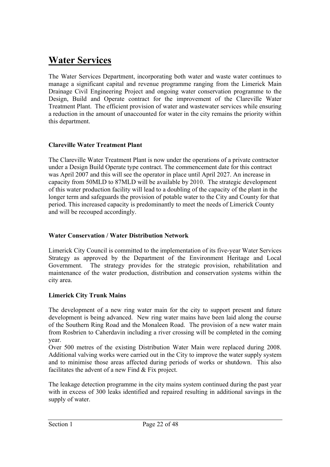# **Water Services**

The Water Services Department, incorporating both water and waste water continues to manage a significant capital and revenue programme ranging from the Limerick Main Drainage Civil Engineering Project and ongoing water conservation programme to the Design, Build and Operate contract for the improvement of the Clareville Water Treatment Plant. The efficient provision of water and wastewater services while ensuring a reduction in the amount of unaccounted for water in the city remains the priority within this department.

# **Clareville Water Treatment Plant**

The Clareville Water Treatment Plant is now under the operations of a private contractor under a Design Build Operate type contract. The commencement date for this contract was April 2007 and this will see the operator in place until April 2027. An increase in capacity from 50MLD to 87MLD will be available by 2010. The strategic development of this water production facility will lead to a doubling of the capacity of the plant in the longer term and safeguards the provision of potable water to the City and County for that period. This increased capacity is predominantly to meet the needs of Limerick County and will be recouped accordingly.

## **Water Conservation / Water Distribution Network**

Limerick City Council is committed to the implementation of its five-year Water Services Strategy as approved by the Department of the Environment Heritage and Local Government. The strategy provides for the strategic provision, rehabilitation and maintenance of the water production, distribution and conservation systems within the city area.

# **Limerick City Trunk Mains**

The development of a new ring water main for the city to support present and future development is being advanced. New ring water mains have been laid along the course of the Southern Ring Road and the Monaleen Road. The provision of a new water main from Rosbrien to Caherdavin including a river crossing will be completed in the coming year.

Over 500 metres of the existing Distribution Water Main were replaced during 2008. Additional valving works were carried out in the City to improve the water supply system and to minimise those areas affected during periods of works or shutdown. This also facilitates the advent of a new Find & Fix project.

The leakage detection programme in the city mains system continued during the past year with in excess of 300 leaks identified and repaired resulting in additional savings in the supply of water.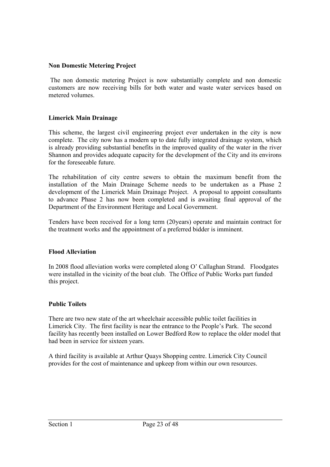#### **Non Domestic Metering Project**

 The non domestic metering Project is now substantially complete and non domestic customers are now receiving bills for both water and waste water services based on metered volumes.

#### **Limerick Main Drainage**

This scheme, the largest civil engineering project ever undertaken in the city is now complete. The city now has a modern up to date fully integrated drainage system, which is already providing substantial benefits in the improved quality of the water in the river Shannon and provides adequate capacity for the development of the City and its environs for the foreseeable future.

The rehabilitation of city centre sewers to obtain the maximum benefit from the installation of the Main Drainage Scheme needs to be undertaken as a Phase 2 development of the Limerick Main Drainage Project. A proposal to appoint consultants to advance Phase 2 has now been completed and is awaiting final approval of the Department of the Environment Heritage and Local Government.

Tenders have been received for a long term (20years) operate and maintain contract for the treatment works and the appointment of a preferred bidder is imminent.

#### **Flood Alleviation**

In 2008 flood alleviation works were completed along O' Callaghan Strand. Floodgates were installed in the vicinity of the boat club. The Office of Public Works part funded this project.

#### **Public Toilets**

There are two new state of the art wheelchair accessible public toilet facilities in Limerick City. The first facility is near the entrance to the People's Park. The second facility has recently been installed on Lower Bedford Row to replace the older model that had been in service for sixteen years.

A third facility is available at Arthur Quays Shopping centre. Limerick City Council provides for the cost of maintenance and upkeep from within our own resources.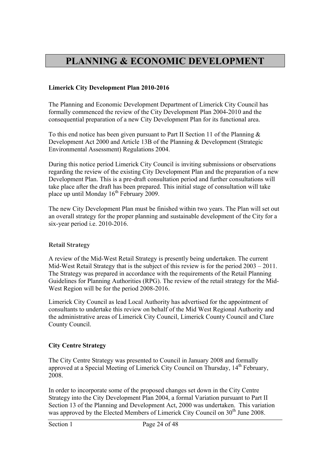# **PLANNING & ECONOMIC DEVELOPMENT**

## **Limerick City Development Plan 2010-2016**

The Planning and Economic Development Department of Limerick City Council has formally commenced the review of the City Development Plan 2004-2010 and the consequential preparation of a new City Development Plan for its functional area.

To this end notice has been given pursuant to Part II Section 11 of the Planning  $\&$ Development Act 2000 and Article 13B of the Planning & Development (Strategic Environmental Assessment) Regulations 2004.

During this notice period Limerick City Council is inviting submissions or observations regarding the review of the existing City Development Plan and the preparation of a new Development Plan. This is a pre-draft consultation period and further consultations will take place after the draft has been prepared. This initial stage of consultation will take place up until Monday  $16<sup>th</sup>$  February 2009.

The new City Development Plan must be finished within two years. The Plan will set out an overall strategy for the proper planning and sustainable development of the City for a six-year period i.e. 2010-2016.

#### **Retail Strategy**

A review of the Mid-West Retail Strategy is presently being undertaken. The current Mid-West Retail Strategy that is the subject of this review is for the period 2003 – 2011. The Strategy was prepared in accordance with the requirements of the Retail Planning Guidelines for Planning Authorities (RPG). The review of the retail strategy for the Mid-West Region will be for the period 2008-2016.

Limerick City Council as lead Local Authority has advertised for the appointment of consultants to undertake this review on behalf of the Mid West Regional Authority and the administrative areas of Limerick City Council, Limerick County Council and Clare County Council.

# **City Centre Strategy**

The City Centre Strategy was presented to Council in January 2008 and formally approved at a Special Meeting of Limerick City Council on Thursday, 14th February, 2008.

In order to incorporate some of the proposed changes set down in the City Centre Strategy into the City Development Plan 2004, a formal Variation pursuant to Part II Section 13 of the Planning and Development Act, 2000 was undertaken. This variation was approved by the Elected Members of Limerick City Council on  $30<sup>th</sup>$  June 2008.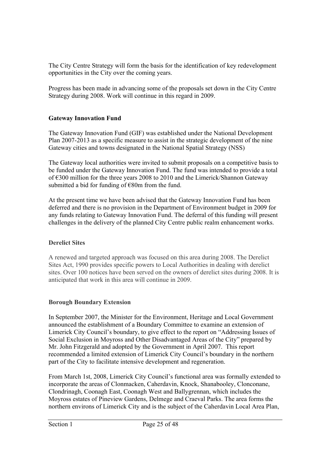The City Centre Strategy will form the basis for the identification of key redevelopment opportunities in the City over the coming years.

Progress has been made in advancing some of the proposals set down in the City Centre Strategy during 2008. Work will continue in this regard in 2009.

# **Gateway Innovation Fund**

The Gateway Innovation Fund (GIF) was established under the National Development Plan 2007-2013 as a specific measure to assist in the strategic development of the nine Gateway cities and towns designated in the National Spatial Strategy (NSS)

The Gateway local authorities were invited to submit proposals on a competitive basis to be funded under the Gateway Innovation Fund. The fund was intended to provide a total of €300 million for the three years 2008 to 2010 and the Limerick/Shannon Gateway submitted a bid for funding of  $€80m$  from the fund.

At the present time we have been advised that the Gateway Innovation Fund has been deferred and there is no provision in the Department of Environment budget in 2009 for any funds relating to Gateway Innovation Fund. The deferral of this funding will present challenges in the delivery of the planned City Centre public realm enhancement works.

# **Derelict Sites**

A renewed and targeted approach was focused on this area during 2008. The Derelict Sites Act, 1990 provides specific powers to Local Authorities in dealing with derelict sites. Over 100 notices have been served on the owners of derelict sites during 2008. It is anticipated that work in this area will continue in 2009.

# **Borough Boundary Extension**

In September 2007, the Minister for the Environment, Heritage and Local Government announced the establishment of a Boundary Committee to examine an extension of Limerick City Council's boundary, to give effect to the report on "Addressing Issues of Social Exclusion in Moyross and Other Disadvantaged Areas of the City" prepared by Mr. John Fitzgerald and adopted by the Government in April 2007. This report recommended a limited extension of Limerick City Council's boundary in the northern part of the City to facilitate intensive development and regeneration.

From March 1st, 2008, Limerick City Council's functional area was formally extended to incorporate the areas of Clonmacken, Caherdavin, Knock, Shanabooley, Clonconane, Clondrinagh, Coonagh East, Coonagh West and Ballygrennan, which includes the Moyross estates of Pineview Gardens, Delmege and Craeval Parks. The area forms the northern environs of Limerick City and is the subject of the Caherdavin Local Area Plan,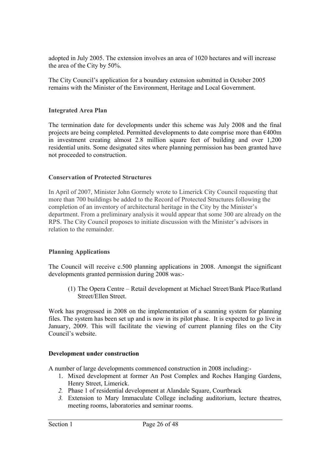adopted in July 2005. The extension involves an area of 1020 hectares and will increase the area of the City by 50%.

The City Council's application for a boundary extension submitted in October 2005 remains with the Minister of the Environment, Heritage and Local Government.

#### **Integrated Area Plan**

The termination date for developments under this scheme was July 2008 and the final projects are being completed. Permitted developments to date comprise more than  $\epsilon$ 400m in investment creating almost 2.8 million square feet of building and over 1,200 residential units. Some designated sites where planning permission has been granted have not proceeded to construction.

#### **Conservation of Protected Structures**

In April of 2007, Minister John Gormely wrote to Limerick City Council requesting that more than 700 buildings be added to the Record of Protected Structures following the completion of an inventory of architectural heritage in the City by the Minister's department. From a preliminary analysis it would appear that some 300 are already on the RPS. The City Council proposes to initiate discussion with the Minister's advisors in relation to the remainder.

# **Planning Applications**

The Council will receive c.500 planning applications in 2008. Amongst the significant developments granted permission during 2008 was:-

(1) The Opera Centre – Retail development at Michael Street/Bank Place/Rutland Street/Ellen Street.

Work has progressed in 2008 on the implementation of a scanning system for planning files. The system has been set up and is now in its pilot phase. It is expected to go live in January, 2009. This will facilitate the viewing of current planning files on the City Council's website.

#### **Development under construction**

A number of large developments commenced construction in 2008 including:-

- 1. Mixed development at former An Post Complex and Roches Hanging Gardens, Henry Street, Limerick.
- *2.* Phase 1 of residential development at Alandale Square, Courtbrack
- *3.* Extension to Mary Immaculate College including auditorium, lecture theatres, meeting rooms, laboratories and seminar rooms.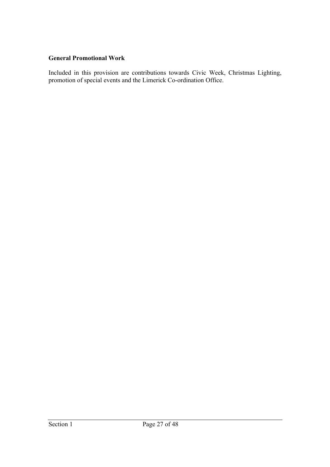### **General Promotional Work**

Included in this provision are contributions towards Civic Week, Christmas Lighting, promotion of special events and the Limerick Co-ordination Office.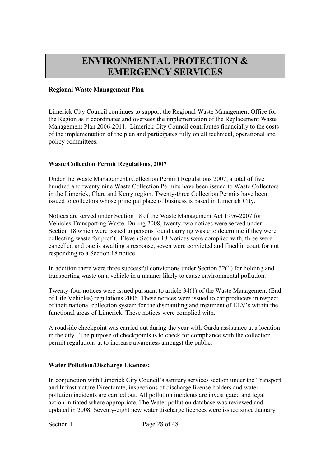# **ENVIRONMENTAL PROTECTION & EMERGENCY SERVICES**

#### **Regional Waste Management Plan**

Limerick City Council continues to support the Regional Waste Management Office for the Region as it coordinates and oversees the implementation of the Replacement Waste Management Plan 2006-2011. Limerick City Council contributes financially to the costs of the implementation of the plan and participates fully on all technical, operational and policy committees.

#### **Waste Collection Permit Regulations, 2007**

Under the Waste Management (Collection Permit) Regulations 2007, a total of five hundred and twenty nine Waste Collection Permits have been issued to Waste Collectors in the Limerick, Clare and Kerry region. Twenty-three Collection Permits have been issued to collectors whose principal place of business is based in Limerick City.

Notices are served under Section 18 of the Waste Management Act 1996-2007 for Vehicles Transporting Waste. During 2008, twenty-two notices were served under Section 18 which were issued to persons found carrying waste to determine if they were collecting waste for profit. Eleven Section 18 Notices were complied with, three were cancelled and one is awaiting a response, seven were convicted and fined in court for not responding to a Section 18 notice.

In addition there were three successful convictions under Section 32(1) for holding and transporting waste on a vehicle in a manner likely to cause environmental pollution.

Twenty-four notices were issued pursuant to article 34(1) of the Waste Management (End of Life Vehicles) regulations 2006. These notices were issued to car producers in respect of their national collection system for the dismantling and treatment of ELV's within the functional areas of Limerick. These notices were complied with.

A roadside checkpoint was carried out during the year with Garda assistance at a location in the city. The purpose of checkpoints is to check for compliance with the collection permit regulations at to increase awareness amongst the public.

#### **Water Pollution/Discharge Licences:**

In conjunction with Limerick City Council's sanitary services section under the Transport and Infrastructure Directorate, inspections of discharge license holders and water pollution incidents are carried out. All pollution incidents are investigated and legal action initiated where appropriate. The Water pollution database was reviewed and updated in 2008. Seventy-eight new water discharge licences were issued since January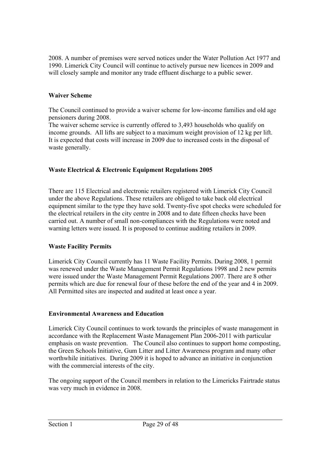2008. A number of premises were served notices under the Water Pollution Act 1977 and 1990. Limerick City Council will continue to actively pursue new licences in 2009 and will closely sample and monitor any trade effluent discharge to a public sewer.

# **Waiver Scheme**

The Council continued to provide a waiver scheme for low-income families and old age pensioners during 2008.

The waiver scheme service is currently offered to 3,493 households who qualify on income grounds. All lifts are subject to a maximum weight provision of 12 kg per lift. It is expected that costs will increase in 2009 due to increased costs in the disposal of waste generally.

#### **Waste Electrical & Electronic Equipment Regulations 2005**

There are 115 Electrical and electronic retailers registered with Limerick City Council under the above Regulations. These retailers are obliged to take back old electrical equipment similar to the type they have sold. Twenty-five spot checks were scheduled for the electrical retailers in the city centre in 2008 and to date fifteen checks have been carried out. A number of small non-compliances with the Regulations were noted and warning letters were issued. It is proposed to continue auditing retailers in 2009.

#### **Waste Facility Permits**

Limerick City Council currently has 11 Waste Facility Permits. During 2008, 1 permit was renewed under the Waste Management Permit Regulations 1998 and 2 new permits were issued under the Waste Management Permit Regulations 2007. There are 8 other permits which are due for renewal four of these before the end of the year and 4 in 2009. All Permitted sites are inspected and audited at least once a year.

#### **Environmental Awareness and Education**

Limerick City Council continues to work towards the principles of waste management in accordance with the Replacement Waste Management Plan 2006-2011 with particular emphasis on waste prevention. The Council also continues to support home composting, the Green Schools Initiative, Gum Litter and Litter Awareness program and many other worthwhile initiatives. During 2009 it is hoped to advance an initiative in conjunction with the commercial interests of the city.

The ongoing support of the Council members in relation to the Limericks Fairtrade status was very much in evidence in 2008.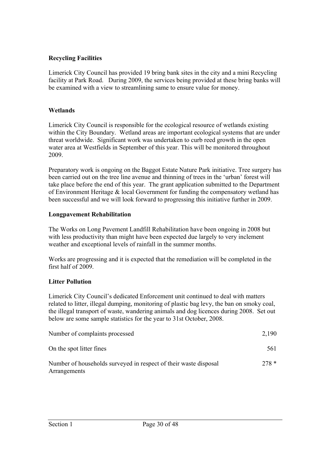# **Recycling Facilities**

Limerick City Council has provided 19 bring bank sites in the city and a mini Recycling facility at Park Road. During 2009, the services being provided at these bring banks will be examined with a view to streamlining same to ensure value for money.

#### **Wetlands**

Limerick City Council is responsible for the ecological resource of wetlands existing within the City Boundary. Wetland areas are important ecological systems that are under threat worldwide. Significant work was undertaken to curb reed growth in the open water area at Westfields in September of this year. This will be monitored throughout 2009.

Preparatory work is ongoing on the Baggot Estate Nature Park initiative. Tree surgery has been carried out on the tree line avenue and thinning of trees in the 'urban' forest will take place before the end of this year. The grant application submitted to the Department of Environment Heritage & local Government for funding the compensatory wetland has been successful and we will look forward to progressing this initiative further in 2009.

#### **Longpavement Rehabilitation**

The Works on Long Pavement Landfill Rehabilitation have been ongoing in 2008 but with less productivity than might have been expected due largely to very inclement weather and exceptional levels of rainfall in the summer months.

Works are progressing and it is expected that the remediation will be completed in the first half of 2009.

# **Litter Pollution**

Limerick City Council's dedicated Enforcement unit continued to deal with matters related to litter, illegal dumping, monitoring of plastic bag levy, the ban on smoky coal, the illegal transport of waste, wandering animals and dog licences during 2008. Set out below are some sample statistics for the year to 31st October, 2008.

| Number of complaints processed                                                   | 2,190  |
|----------------------------------------------------------------------------------|--------|
| On the spot litter fines                                                         | 561    |
| Number of households surveyed in respect of their waste disposal<br>Arrangements | $278*$ |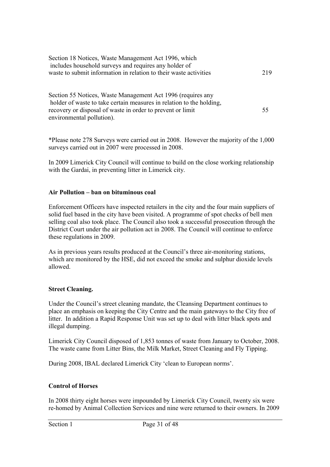| Section 18 Notices, Waste Management Act 1996, which              |     |
|-------------------------------------------------------------------|-----|
| includes household surveys and requires any holder of             |     |
| waste to submit information in relation to their waste activities | 219 |
|                                                                   |     |

Section 55 Notices, Waste Management Act 1996 (requires any holder of waste to take certain measures in relation to the holding, recovery or disposal of waste in order to prevent or limit 55 environmental pollution).

\*Please note 278 Surveys were carried out in 2008. However the majority of the 1,000 surveys carried out in 2007 were processed in 2008.

In 2009 Limerick City Council will continue to build on the close working relationship with the Gardai, in preventing litter in Limerick city.

#### **Air Pollution – ban on bituminous coal**

Enforcement Officers have inspected retailers in the city and the four main suppliers of solid fuel based in the city have been visited. A programme of spot checks of bell men selling coal also took place. The Council also took a successful prosecution through the District Court under the air pollution act in 2008. The Council will continue to enforce these regulations in 2009.

As in previous years results produced at the Council's three air-monitoring stations, which are monitored by the HSE, did not exceed the smoke and sulphur dioxide levels allowed.

# **Street Cleaning.**

Under the Council's street cleaning mandate, the Cleansing Department continues to place an emphasis on keeping the City Centre and the main gateways to the City free of litter. In addition a Rapid Response Unit was set up to deal with litter black spots and illegal dumping.

Limerick City Council disposed of 1,853 tonnes of waste from January to October, 2008. The waste came from Litter Bins, the Milk Market, Street Cleaning and Fly Tipping.

During 2008, IBAL declared Limerick City 'clean to European norms'.

# **Control of Horses**

In 2008 thirty eight horses were impounded by Limerick City Council, twenty six were re-homed by Animal Collection Services and nine were returned to their owners. In 2009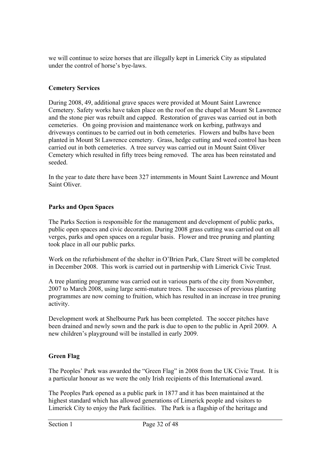we will continue to seize horses that are illegally kept in Limerick City as stipulated under the control of horse's bye-laws.

#### **Cemetery Services**

During 2008, 49, additional grave spaces were provided at Mount Saint Lawrence Cemetery. Safety works have taken place on the roof on the chapel at Mount St Lawrence and the stone pier was rebuilt and capped. Restoration of graves was carried out in both cemeteries. On going provision and maintenance work on kerbing, pathways and driveways continues to be carried out in both cemeteries. Flowers and bulbs have been planted in Mount St Lawrence cemetery. Grass, hedge cutting and weed control has been carried out in both cemeteries. A tree survey was carried out in Mount Saint Oliver Cemetery which resulted in fifty trees being removed. The area has been reinstated and seeded.

In the year to date there have been 327 internments in Mount Saint Lawrence and Mount Saint Oliver.

#### **Parks and Open Spaces**

The Parks Section is responsible for the management and development of public parks, public open spaces and civic decoration. During 2008 grass cutting was carried out on all verges, parks and open spaces on a regular basis. Flower and tree pruning and planting took place in all our public parks.

Work on the refurbishment of the shelter in O'Brien Park, Clare Street will be completed in December 2008. This work is carried out in partnership with Limerick Civic Trust.

A tree planting programme was carried out in various parts of the city from November, 2007 to March 2008, using large semi-mature trees. The successes of previous planting programmes are now coming to fruition, which has resulted in an increase in tree pruning activity.

Development work at Shelbourne Park has been completed. The soccer pitches have been drained and newly sown and the park is due to open to the public in April 2009. A new children's playground will be installed in early 2009.

# **Green Flag**

The Peoples' Park was awarded the "Green Flag" in 2008 from the UK Civic Trust. It is a particular honour as we were the only Irish recipients of this International award.

The Peoples Park opened as a public park in 1877 and it has been maintained at the highest standard which has allowed generations of Limerick people and visitors to Limerick City to enjoy the Park facilities. The Park is a flagship of the heritage and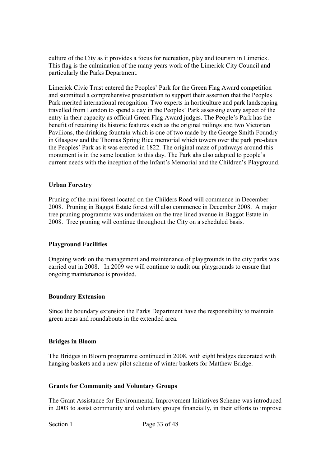culture of the City as it provides a focus for recreation, play and tourism in Limerick. This flag is the culmination of the many years work of the Limerick City Council and particularly the Parks Department.

Limerick Civic Trust entered the Peoples' Park for the Green Flag Award competition and submitted a comprehensive presentation to support their assertion that the Peoples Park merited international recognition. Two experts in horticulture and park landscaping travelled from London to spend a day in the Peoples' Park assessing every aspect of the entry in their capacity as official Green Flag Award judges. The People's Park has the benefit of retaining its historic features such as the original railings and two Victorian Pavilions, the drinking fountain which is one of two made by the George Smith Foundry in Glasgow and the Thomas Spring Rice memorial which towers over the park pre-dates the Peoples' Park as it was erected in 1822. The original maze of pathways around this monument is in the same location to this day. The Park ahs also adapted to people's current needs with the inception of the Infant's Memorial and the Children's Playground.

#### **Urban Forestry**

Pruning of the mini forest located on the Childers Road will commence in December 2008. Pruning in Baggot Estate forest will also commence in December 2008. A major tree pruning programme was undertaken on the tree lined avenue in Baggot Estate in 2008. Tree pruning will continue throughout the City on a scheduled basis.

#### **Playground Facilities**

Ongoing work on the management and maintenance of playgrounds in the city parks was carried out in 2008. In 2009 we will continue to audit our playgrounds to ensure that ongoing maintenance is provided.

#### **Boundary Extension**

Since the boundary extension the Parks Department have the responsibility to maintain green areas and roundabouts in the extended area.

#### **Bridges in Bloom**

The Bridges in Bloom programme continued in 2008, with eight bridges decorated with hanging baskets and a new pilot scheme of winter baskets for Matthew Bridge.

#### **Grants for Community and Voluntary Groups**

The Grant Assistance for Environmental Improvement Initiatives Scheme was introduced in 2003 to assist community and voluntary groups financially, in their efforts to improve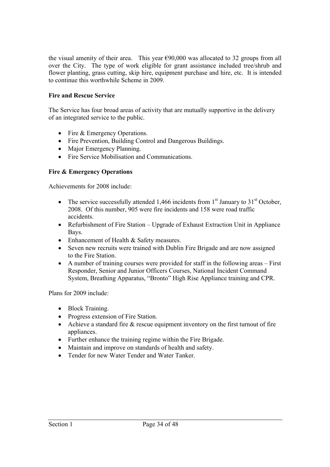the visual amenity of their area. This year  $\epsilon$ 90,000 was allocated to 32 groups from all over the City. The type of work eligible for grant assistance included tree/shrub and flower planting, grass cutting, skip hire, equipment purchase and hire, etc. It is intended to continue this worthwhile Scheme in 2009.

# **Fire and Rescue Service**

The Service has four broad areas of activity that are mutually supportive in the delivery of an integrated service to the public.

- Fire & Emergency Operations.
- Fire Prevention, Building Control and Dangerous Buildings.
- Major Emergency Planning.
- Fire Service Mobilisation and Communications.

# **Fire & Emergency Operations**

Achievements for 2008 include:

- The service successfully attended 1,466 incidents from  $1<sup>st</sup>$  January to 31<sup>st</sup> October, 2008. Of this number, 905 were fire incidents and 158 were road traffic accidents.
- Refurbishment of Fire Station Upgrade of Exhaust Extraction Unit in Appliance Bays.
- Enhancement of Health & Safety measures.
- Seven new recruits were trained with Dublin Fire Brigade and are now assigned to the Fire Station.
- A number of training courses were provided for staff in the following areas First Responder, Senior and Junior Officers Courses, National Incident Command System, Breathing Apparatus, "Bronto" High Rise Appliance training and CPR.

Plans for 2009 include:

- Block Training.
- Progress extension of Fire Station.
- Achieve a standard fire  $\&$  rescue equipment inventory on the first turnout of fire appliances.
- Further enhance the training regime within the Fire Brigade.
- Maintain and improve on standards of health and safety.
- Tender for new Water Tender and Water Tanker.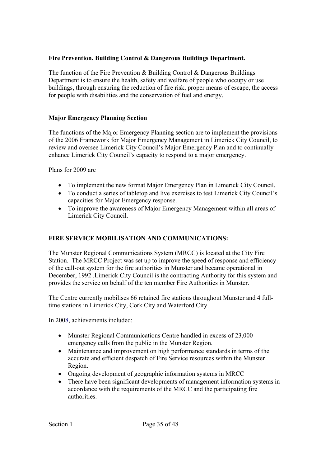# **Fire Prevention, Building Control & Dangerous Buildings Department.**

The function of the Fire Prevention & Building Control & Dangerous Buildings Department is to ensure the health, safety and welfare of people who occupy or use buildings, through ensuring the reduction of fire risk, proper means of escape, the access for people with disabilities and the conservation of fuel and energy.

# **Major Emergency Planning Section**

The functions of the Major Emergency Planning section are to implement the provisions of the 2006 Framework for Major Emergency Management in Limerick City Council, to review and oversee Limerick City Council's Major Emergency Plan and to continually enhance Limerick City Council's capacity to respond to a major emergency.

Plans for 2009 are

- To implement the new format Major Emergency Plan in Limerick City Council.
- To conduct a series of tabletop and live exercises to test Limerick City Council's capacities for Major Emergency response.
- To improve the awareness of Major Emergency Management within all areas of Limerick City Council.

# **FIRE SERVICE MOBILISATION AND COMMUNICATIONS:**

The Munster Regional Communications System (MRCC) is located at the City Fire Station. The MRCC Project was set up to improve the speed of response and efficiency of the call-out system for the fire authorities in Munster and became operational in December, 1992 .Limerick City Council is the contracting Authority for this system and provides the service on behalf of the ten member Fire Authorities in Munster.

The Centre currently mobilises 66 retained fire stations throughout Munster and 4 fulltime stations in Limerick City, Cork City and Waterford City.

In 2008, achievements included:

- Munster Regional Communications Centre handled in excess of 23,000 emergency calls from the public in the Munster Region.
- Maintenance and improvement on high performance standards in terms of the accurate and efficient despatch of Fire Service resources within the Munster Region.
- Ongoing development of geographic information systems in MRCC
- There have been significant developments of management information systems in accordance with the requirements of the MRCC and the participating fire authorities.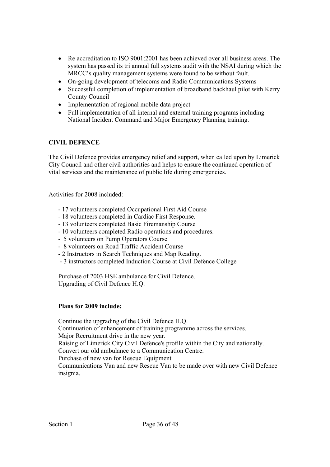- Re accreditation to ISO 9001:2001 has been achieved over all business areas. The system has passed its tri annual full systems audit with the NSAI during which the MRCC's quality management systems were found to be without fault.
- On-going development of telecoms and Radio Communications Systems
- Successful completion of implementation of broadband backhaul pilot with Kerry County Council
- Implementation of regional mobile data project
- Full implementation of all internal and external training programs including National Incident Command and Major Emergency Planning training.

# **CIVIL DEFENCE**

The Civil Defence provides emergency relief and support, when called upon by Limerick City Council and other civil authorities and helps to ensure the continued operation of vital services and the maintenance of public life during emergencies.

Activities for 2008 included:

- 17 volunteers completed Occupational First Aid Course
- 18 volunteers completed in Cardiac First Response.
- 13 volunteers completed Basic Firemanship Course
- 10 volunteers completed Radio operations and procedures.
- 5 volunteers on Pump Operators Course
- 8 volunteers on Road Traffic Accident Course
- 2 Instructors in Search Techniques and Map Reading.
- 3 instructors completed Induction Course at Civil Defence College

Purchase of 2003 HSE ambulance for Civil Defence. Upgrading of Civil Defence H.Q.

#### **Plans for 2009 include:**

Continue the upgrading of the Civil Defence H.Q. Continuation of enhancement of training programme across the services. Major Recruitment drive in the new year. Raising of Limerick City Civil Defence's profile within the City and nationally. Convert our old ambulance to a Communication Centre. Purchase of new van for Rescue Equipment Communications Van and new Rescue Van to be made over with new Civil Defence insignia.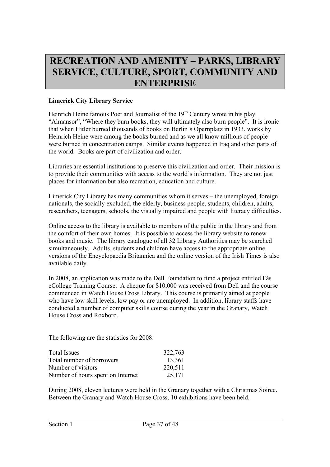# **RECREATION AND AMENITY – PARKS, LIBRARY SERVICE, CULTURE, SPORT, COMMUNITY AND ENTERPRISE**

# **Limerick City Library Service**

Heinrich Heine famous Poet and Journalist of the 19<sup>th</sup> Century wrote in his play "Almansor", "Where they burn books, they will ultimately also burn people". It is ironic that when Hitler burned thousands of books on Berlin's Opernplatz in 1933, works by Heinrich Heine were among the books burned and as we all know millions of people were burned in concentration camps. Similar events happened in Iraq and other parts of the world. Books are part of civilization and order.

Libraries are essential institutions to preserve this civilization and order. Their mission is to provide their communities with access to the world's information. They are not just places for information but also recreation, education and culture.

Limerick City Library has many communities whom it serves – the unemployed, foreign nationals, the socially excluded, the elderly, business people, students, children, adults, researchers, teenagers, schools, the visually impaired and people with literacy difficulties.

Online access to the library is available to members of the public in the library and from the comfort of their own homes. It is possible to access the library website to renew books and music. The library catalogue of all 32 Library Authorities may be searched simultaneously. Adults, students and children have access to the appropriate online versions of the Encyclopaedia Britannica and the online version of the Irish Times is also available daily.

In 2008, an application was made to the Dell Foundation to fund a project entitled Fás eCollege Training Course. A cheque for \$10,000 was received from Dell and the course commenced in Watch House Cross Library. This course is primarily aimed at people who have low skill levels, low pay or are unemployed. In addition, library staffs have conducted a number of computer skills course during the year in the Granary, Watch House Cross and Roxboro.

The following are the statistics for 2008:

| <b>Total Issues</b>               | 322,763 |
|-----------------------------------|---------|
| Total number of borrowers         | 13,361  |
| Number of visitors                | 220,511 |
| Number of hours spent on Internet | 25,171  |

During 2008, eleven lectures were held in the Granary together with a Christmas Soiree. Between the Granary and Watch House Cross, 10 exhibitions have been held.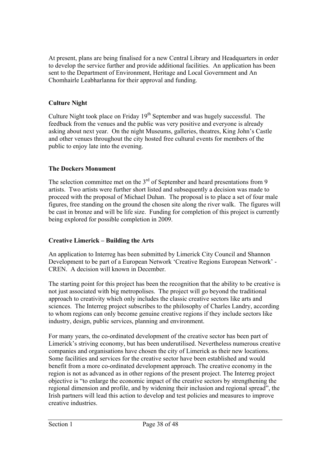At present, plans are being finalised for a new Central Library and Headquarters in order to develop the service further and provide additional facilities. An application has been sent to the Department of Environment, Heritage and Local Government and An Chomhairle Leabharlanna for their approval and funding.

# **Culture Night**

Culture Night took place on Friday  $19<sup>th</sup>$  September and was hugely successful. The feedback from the venues and the public was very positive and everyone is already asking about next year. On the night Museums, galleries, theatres, King John's Castle and other venues throughout the city hosted free cultural events for members of the public to enjoy late into the evening.

# **The Dockers Monument**

The selection committee met on the  $3<sup>rd</sup>$  of September and heard presentations from 9 artists. Two artists were further short listed and subsequently a decision was made to proceed with the proposal of Michael Duhan. The proposal is to place a set of four male figures, free standing on the ground the chosen site along the river walk. The figures will be cast in bronze and will be life size. Funding for completion of this project is currently being explored for possible completion in 2009.

# **Creative Limerick – Building the Arts**

An application to Interreg has been submitted by Limerick City Council and Shannon Development to be part of a European Network 'Creative Regions European Network' - CREN. A decision will known in December.

The starting point for this project has been the recognition that the ability to be creative is not just associated with big metropolises. The project will go beyond the traditional approach to creativity which only includes the classic creative sectors like arts and sciences. The Interreg project subscribes to the philosophy of Charles Landry, according to whom regions can only become genuine creative regions if they include sectors like industry, design, public services, planning and environment.

For many years, the co-ordinated development of the creative sector has been part of Limerick's striving economy, but has been underutilised. Nevertheless numerous creative companies and organisations have chosen the city of Limerick as their new locations. Some facilities and services for the creative sector have been established and would benefit from a more co-ordinated development approach. The creative economy in the region is not as advanced as in other regions of the present project. The Interreg project objective is "to enlarge the economic impact of the creative sectors by strengthening the regional dimension and profile, and by widening their inclusion and regional spread", the Irish partners will lead this action to develop and test policies and measures to improve creative industries.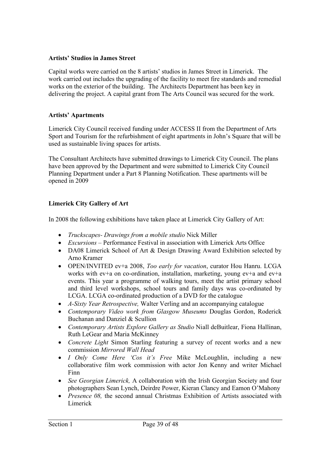#### **Artists' Studios in James Street**

Capital works were carried on the 8 artists' studios in James Street in Limerick. The work carried out includes the upgrading of the facility to meet fire standards and remedial works on the exterior of the building. The Architects Department has been key in delivering the project. A capital grant from The Arts Council was secured for the work.

#### **Artists' Apartments**

Limerick City Council received funding under ACCESS II from the Department of Arts Sport and Tourism for the refurbishment of eight apartments in John's Square that will be used as sustainable living spaces for artists.

The Consultant Architects have submitted drawings to Limerick City Council. The plans have been approved by the Department and were submitted to Limerick City Council Planning Department under a Part 8 Planning Notification. These apartments will be opened in 2009

# **Limerick City Gallery of Art**

In 2008 the following exhibitions have taken place at Limerick City Gallery of Art:

- *Truckscapes- Drawings from a mobile studio* Nick Miller
- *Excursions –* Performance Festival in association with Limerick Arts Office
- DA08 Limerick School of Art & Design Drawing Award Exhibition selected by Arno Kramer
- OPEN/INVITED ev+a 2008, *Too early for vacation*, curator Hou Hanru. LCGA works with ev+a on co-ordination, installation, marketing, young ev+a and ev+a events. This year a programme of walking tours, meet the artist primary school and third level workshops, school tours and family days was co-ordinated by LCGA. LCGA co-ordinated production of a DVD for the catalogue
- *A-Sixty Year Retrospective,* Walter Verling and an accompanying catalogue
- *Contemporary Video work from Glasgow Museums* Douglas Gordon, Roderick Buchanan and Danziel & Scullion
- *Contemporary Artists Explore Gallery as Studio* Niall deBuitlear, Fiona Hallinan, Ruth LeGear and Maria McKinney
- *Concrete Light* Simon Starling featuring a survey of recent works and a new commission *Mirrored Wall Head*
- *I Only Come Here 'Cos it's Free* Mike McLoughlin, including a new collaborative film work commission with actor Jon Kenny and writer Michael Finn
- *See Georgian Limerick,* A collaboration with the Irish Georgian Society and four photographers Sean Lynch, Deirdre Power, Kieran Clancy and Eamon O'Mahony
- *Presence 08,* the second annual Christmas Exhibition of Artists associated with Limerick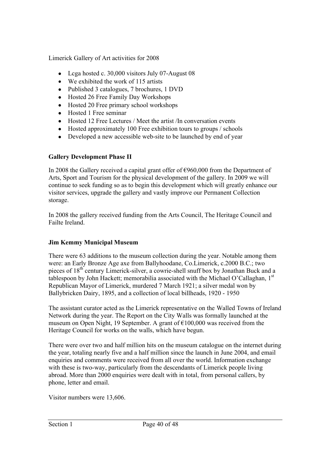Limerick Gallery of Art activities for 2008

- Lega hosted c. 30,000 visitors July 07-August 08
- We exhibited the work of 115 artists
- Published 3 catalogues, 7 brochures, 1 DVD
- Hosted 26 Free Family Day Workshops
- Hosted 20 Free primary school workshops
- Hosted 1 Free seminar
- Hosted 12 Free Lectures / Meet the artist /In conversation events
- Hosted approximately 100 Free exhibition tours to groups / schools
- Developed a new accessible web-site to be launched by end of year

# **Gallery Development Phase II**

In 2008 the Gallery received a capital grant offer of  $\epsilon$ 960,000 from the Department of Arts, Sport and Tourism for the physical development of the gallery. In 2009 we will continue to seek funding so as to begin this development which will greatly enhance our visitor services, upgrade the gallery and vastly improve our Permanent Collection storage.

In 2008 the gallery received funding from the Arts Council, The Heritage Council and Failte Ireland.

# **Jim Kemmy Municipal Museum**

There were 63 additions to the museum collection during the year. Notable among them were: an Early Bronze Age axe from Ballyhoodane, Co.Limerick, c.2000 B.C.; two pieces of 18th century Limerick-silver, a cowrie-shell snuff box by Jonathan Buck and a tablespoon by John Hackett; memorabilia associated with the Michael O'Callaghan, 1<sup>st</sup> Republican Mayor of Limerick, murdered 7 March 1921; a silver medal won by Ballybricken Dairy, 1895, and a collection of local billheads, 1920 - 1950

The assistant curator acted as the Limerick representative on the Walled Towns of Ireland Network during the year. The Report on the City Walls was formally launched at the museum on Open Night, 19 September. A grant of  $\epsilon$ 100,000 was received from the Heritage Council for works on the walls, which have begun.

There were over two and half million hits on the museum catalogue on the internet during the year, totaling nearly five and a half million since the launch in June 2004, and email enquiries and comments were received from all over the world. Information exchange with these is two-way, particularly from the descendants of Limerick people living abroad. More than 2000 enquiries were dealt with in total, from personal callers, by phone, letter and email.

Visitor numbers were 13,606.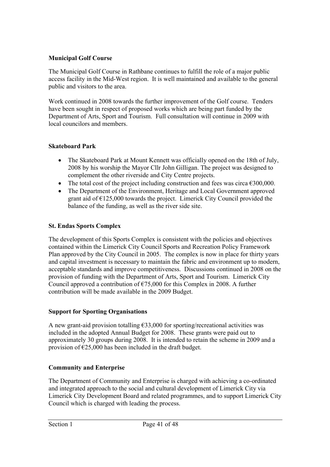# **Municipal Golf Course**

The Municipal Golf Course in Rathbane continues to fulfill the role of a major public access facility in the Mid-West region. It is well maintained and available to the general public and visitors to the area.

Work continued in 2008 towards the further improvement of the Golf course. Tenders have been sought in respect of proposed works which are being part funded by the Department of Arts, Sport and Tourism. Full consultation will continue in 2009 with local councilors and members.

# **Skateboard Park**

- The Skateboard Park at Mount Kennett was officially opened on the 18th of July, 2008 by his worship the Mayor Cllr John Gilligan. The project was designed to complement the other riverside and City Centre projects.
- The total cost of the project including construction and fees was circa  $\epsilon$ 300,000.
- The Department of the Environment, Heritage and Local Government approved grant aid of  $E125,000$  towards the project. Limerick City Council provided the balance of the funding, as well as the river side site.

# **St. Endas Sports Complex**

The development of this Sports Complex is consistent with the policies and objectives contained within the Limerick City Council Sports and Recreation Policy Framework Plan approved by the City Council in 2005. The complex is now in place for thirty years and capital investment is necessary to maintain the fabric and environment up to modern, acceptable standards and improve competitiveness. Discussions continued in 2008 on the provision of funding with the Department of Arts, Sport and Tourism. Limerick City Council approved a contribution of  $\epsilon$ 75,000 for this Complex in 2008. A further contribution will be made available in the 2009 Budget.

# **Support for Sporting Organisations**

A new grant-aid provision totalling  $\epsilon$ 33,000 for sporting/recreational activities was included in the adopted Annual Budget for 2008. These grants were paid out to approximately 30 groups during 2008. It is intended to retain the scheme in 2009 and a provision of  $\epsilon$ 25,000 has been included in the draft budget.

# **Community and Enterprise**

The Department of Community and Enterprise is charged with achieving a co-ordinated and integrated approach to the social and cultural development of Limerick City via Limerick City Development Board and related programmes, and to support Limerick City Council which is charged with leading the process.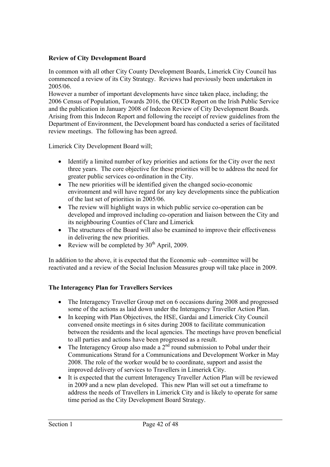# **Review of City Development Board**

In common with all other City County Development Boards, Limerick City Council has commenced a review of its City Strategy. Reviews had previously been undertaken in 2005/06.

However a number of important developments have since taken place, including; the 2006 Census of Population, Towards 2016, the OECD Report on the Irish Public Service and the publication in January 2008 of Indecon Review of City Development Boards. Arising from this Indecon Report and following the receipt of review guidelines from the Department of Environment, the Development board has conducted a series of facilitated review meetings. The following has been agreed.

Limerick City Development Board will;

- Identify a limited number of key priorities and actions for the City over the next three years. The core objective for these priorities will be to address the need for greater public services co-ordination in the City.
- The new priorities will be identified given the changed socio-economic environment and will have regard for any key developments since the publication of the last set of priorities in 2005/06.
- The review will highlight ways in which public service co-operation can be developed and improved including co-operation and liaison between the City and its neighbouring Counties of Clare and Limerick
- The structures of the Board will also be examined to improve their effectiveness in delivering the new priorities.
- Review will be completed by  $30<sup>th</sup>$  April, 2009.

In addition to the above, it is expected that the Economic sub –committee will be reactivated and a review of the Social Inclusion Measures group will take place in 2009.

# **The Interagency Plan for Travellers Services**

- The Interagency Traveller Group met on 6 occasions during 2008 and progressed some of the actions as laid down under the Interagency Traveller Action Plan.
- In keeping with Plan Objectives, the HSE, Gardai and Limerick City Council convened onsite meetings in 6 sites during 2008 to facilitate communication between the residents and the local agencies. The meetings have proven beneficial to all parties and actions have been progressed as a result.
- The Interagency Group also made a  $2<sup>nd</sup>$  round submission to Pobal under their Communications Strand for a Communications and Development Worker in May 2008. The role of the worker would be to coordinate, support and assist the improved delivery of services to Travellers in Limerick City.
- It is expected that the current Interagency Traveller Action Plan will be reviewed in 2009 and a new plan developed. This new Plan will set out a timeframe to address the needs of Travellers in Limerick City and is likely to operate for same time period as the City Development Board Strategy.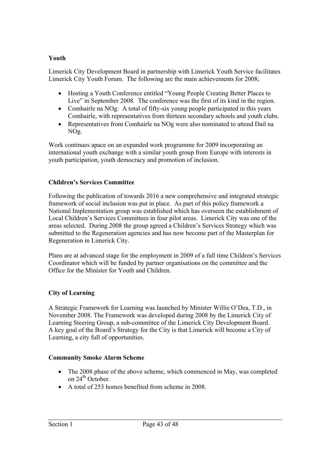# **Youth**

Limerick City Development Board in partnership with Limerick Youth Service facilitates Limerick City Youth Forum. The following are the main achievements for 2008;

- Hosting a Youth Conference entitled "Young People Creating Better Places to Live" in September 2008. The conference was the first of its kind in the region.
- Comhairle na NOg: A total of fifty-six young people participated in this years Comhairle, with representatives from thirteen secondary schools and youth clubs.
- Representatives from Comhairle na NOg were also nominated to attend Dail na NOg.

Work continues apace on an expanded work programme for 2009 incorporating an international youth exchange with a similar youth group from Europe with interests in youth participation, youth democracy and promotion of inclusion.

# **Children's Services Committee**

Following the publication of towards 2016 a new comprehensive and integrated strategic framework of social inclusion was put in place. As part of this policy framework a National Implementation group was established which has overseen the establishment of Local Children's Services Committees in four pilot areas. Limerick City was one of the areas selected. During 2008 the group agreed a Children's Services Strategy which was submitted to the Regeneration agencies and has now become part of the Masterplan for Regeneration in Limerick City.

Plans are at advanced stage for the employment in 2009 of a full time Children's Services Coordinator which will be funded by partner organisations on the committee and the Office for the Minister for Youth and Children.

# **City of Learning**

A Strategic Framework for Learning was launched by Minister Willie O'Dea, T.D., in November 2008. The Framework was developed during 2008 by the Limerick City of Learning Steering Group, a sub-committee of the Limerick City Development Board. A key goal of the Board's Strategy for the City is that Limerick will become a City of Learning, a city full of opportunities.

# **Community Smoke Alarm Scheme**

- The 2008 phase of the above scheme, which commenced in May, was completed on  $24<sup>th</sup>$  October.
- A total of 253 homes benefited from scheme in 2008.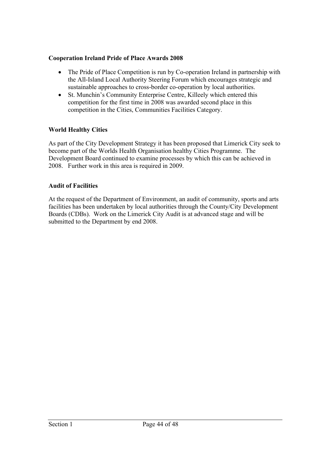## **Cooperation Ireland Pride of Place Awards 2008**

- The Pride of Place Competition is run by Co-operation Ireland in partnership with the All-Island Local Authority Steering Forum which encourages strategic and sustainable approaches to cross-border co-operation by local authorities.
- St. Munchin's Community Enterprise Centre, Killeely which entered this competition for the first time in 2008 was awarded second place in this competition in the Cities, Communities Facilities Category.

# **World Healthy Cities**

As part of the City Development Strategy it has been proposed that Limerick City seek to become part of the Worlds Health Organisation healthy Cities Programme. The Development Board continued to examine processes by which this can be achieved in 2008. Further work in this area is required in 2009.

#### **Audit of Facilities**

At the request of the Department of Environment, an audit of community, sports and arts facilities has been undertaken by local authorities through the County/City Development Boards (CDBs). Work on the Limerick City Audit is at advanced stage and will be submitted to the Department by end 2008.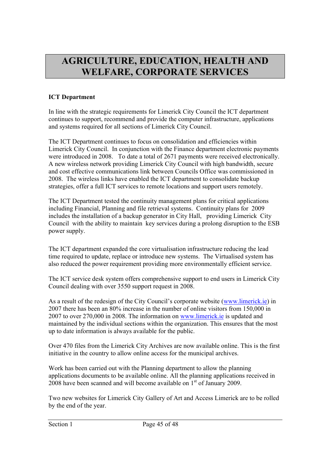# **AGRICULTURE, EDUCATION, HEALTH AND WELFARE, CORPORATE SERVICES**

# **ICT Department**

In line with the strategic requirements for Limerick City Council the ICT department continues to support, recommend and provide the computer infrastructure, applications and systems required for all sections of Limerick City Council.

The ICT Department continues to focus on consolidation and efficiencies within Limerick City Council. In conjunction with the Finance department electronic payments were introduced in 2008. To date a total of 2671 payments were received electronically. A new wireless network providing Limerick City Council with high bandwidth, secure and cost effective communications link between Councils Office was commissioned in 2008. The wireless links have enabled the ICT department to consolidate backup strategies, offer a full ICT services to remote locations and support users remotely.

The ICT Department tested the continuity management plans for critical applications including Financial, Planning and file retrieval systems. Continuity plans for 2009 includes the installation of a backup generator in City Hall, providing Limerick City Council with the ability to maintain key services during a prolong disruption to the ESB power supply.

The ICT department expanded the core virtualisation infrastructure reducing the lead time required to update, replace or introduce new systems. The Virtualised system has also reduced the power requirement providing more environmentally efficient service.

The ICT service desk system offers comprehensive support to end users in Limerick City Council dealing with over 3550 support request in 2008.

As a result of the redesign of the City Council's corporate website (www.limerick.ie) in 2007 there has been an 80% increase in the number of online visitors from 150,000 in 2007 to over 270,000 in 2008. The information on www.limerick.ie is updated and maintained by the individual sections within the organization. This ensures that the most up to date information is always available for the public.

Over 470 files from the Limerick City Archives are now available online. This is the first initiative in the country to allow online access for the municipal archives.

Work has been carried out with the Planning department to allow the planning applications documents to be available online. All the planning applications received in 2008 have been scanned and will become available on 1<sup>st</sup> of January 2009.

Two new websites for Limerick City Gallery of Art and Access Limerick are to be rolled by the end of the year.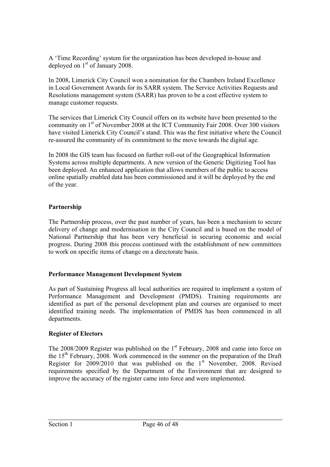A 'Time Recording' system for the organization has been developed in-house and deployed on  $1<sup>st</sup>$  of January 2008.

In 2008, Limerick City Council won a nomination for the Chambers Ireland Excellence in Local Government Awards for its SARR system. The Service Activities Requests and Resolutions management system (SARR) has proven to be a cost effective system to manage customer requests.

The services that Limerick City Council offers on its website have been presented to the community on 1st of November 2008 at the ICT Community Fair 2008. Over 300 visitors have visited Limerick City Council's stand. This was the first initiative where the Council re-assured the community of its commitment to the move towards the digital age.

In 2008 the GIS team has focused on further roll-out of the Geographical Information Systems across multiple departments. A new version of the Generic Digitizing Tool has been deployed. An enhanced application that allows members of the public to access online spatially enabled data has been commissioned and it will be deployed by the end of the year.

# **Partnership**

The Partnership process, over the past number of years, has been a mechanism to secure delivery of change and modernisation in the City Council and is based on the model of National Partnership that has been very beneficial in securing economic and social progress. During 2008 this process continued with the establishment of new committees to work on specific items of change on a directorate basis.

# **Performance Management Development System**

As part of Sustaining Progress all local authorities are required to implement a system of Performance Management and Development (PMDS). Training requirements are identified as part of the personal development plan and courses are organised to meet identified training needs. The implementation of PMDS has been commenced in all departments.

# **Register of Electors**

The  $2008/2009$  Register was published on the  $1<sup>st</sup>$  February, 2008 and came into force on the 15<sup>th</sup> February, 2008. Work commenced in the summer on the preparation of the Draft Register for  $2009/2010$  that was published on the 1<sup>st</sup> November, 2008. Revised requirements specified by the Department of the Environment that are designed to improve the accuracy of the register came into force and were implemented.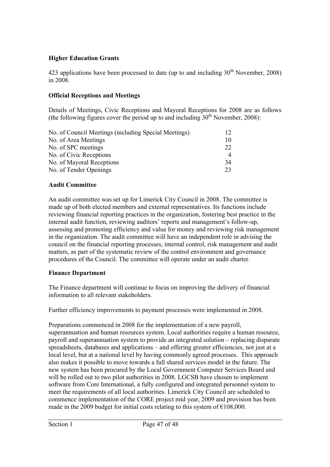# **Higher Education Grants**

423 applications have been processed to date (up to and including  $30<sup>th</sup>$  November, 2008) in 2008.

#### **Official Receptions and Meetings**

Details of Meetings, Civic Receptions and Mayoral Receptions for 2008 are as follows (the following figures cover the period up to and including  $30<sup>th</sup>$  November, 2008):

| No. of Council Meetings (including Special Meetings) | 12             |
|------------------------------------------------------|----------------|
| No. of Area Meetings                                 | 10             |
| No. of SPC meetings                                  | 22             |
| No. of Civic Receptions                              | $\overline{4}$ |
| No. of Mayoral Receptions                            | 34             |
| No. of Tender Openings                               | つく             |

#### **Audit Committee**

An audit committee was set up for Limerick City Council in 2008. The committee is made up of both elected members and external representatives. Its functions include reviewing financial reporting practices in the organization, fostering best practice in the internal audit function, reviewing auditors' reports and management's follow-up, assessing and promoting efficiency and value for money and reviewing risk management in the organization. The audit committee will have an independent role in advising the council on the financial reporting processes, internal control, risk management and audit matters, as part of the systematic review of the control environment and governance procedures of the Council. The committee will operate under an audit charter.

#### **Finance Department**

The Finance department will continue to focus on improving the delivery of financial information to all relevant stakeholders.

Further efficiency improvements to payment processes were implemented in 2008.

Preparations commenced in 2008 for the implementation of a new payroll, superannuation and human resources system. Local authorities require a human resource, payroll and superannuation system to provide an integrated solution – replacing disparate spreadsheets, databases and applications – and offering greater efficiencies, not just at a local level, but at a national level by having commonly agreed processes. This approach also makes it possible to move towards a full shared services model in the future. The new system has been procured by the Local Government Computer Services Board and will be rolled out to two pilot authorities in 2008. LGCSB have chosen to implement software from Core International, a fully configured and integrated personnel system to meet the requirements of all local authorities. Limerick City Council are scheduled to commence implementation of the CORE project mid year, 2009 and provision has been made in the 2009 budget for initial costs relating to this system of  $\epsilon$ 108,000.